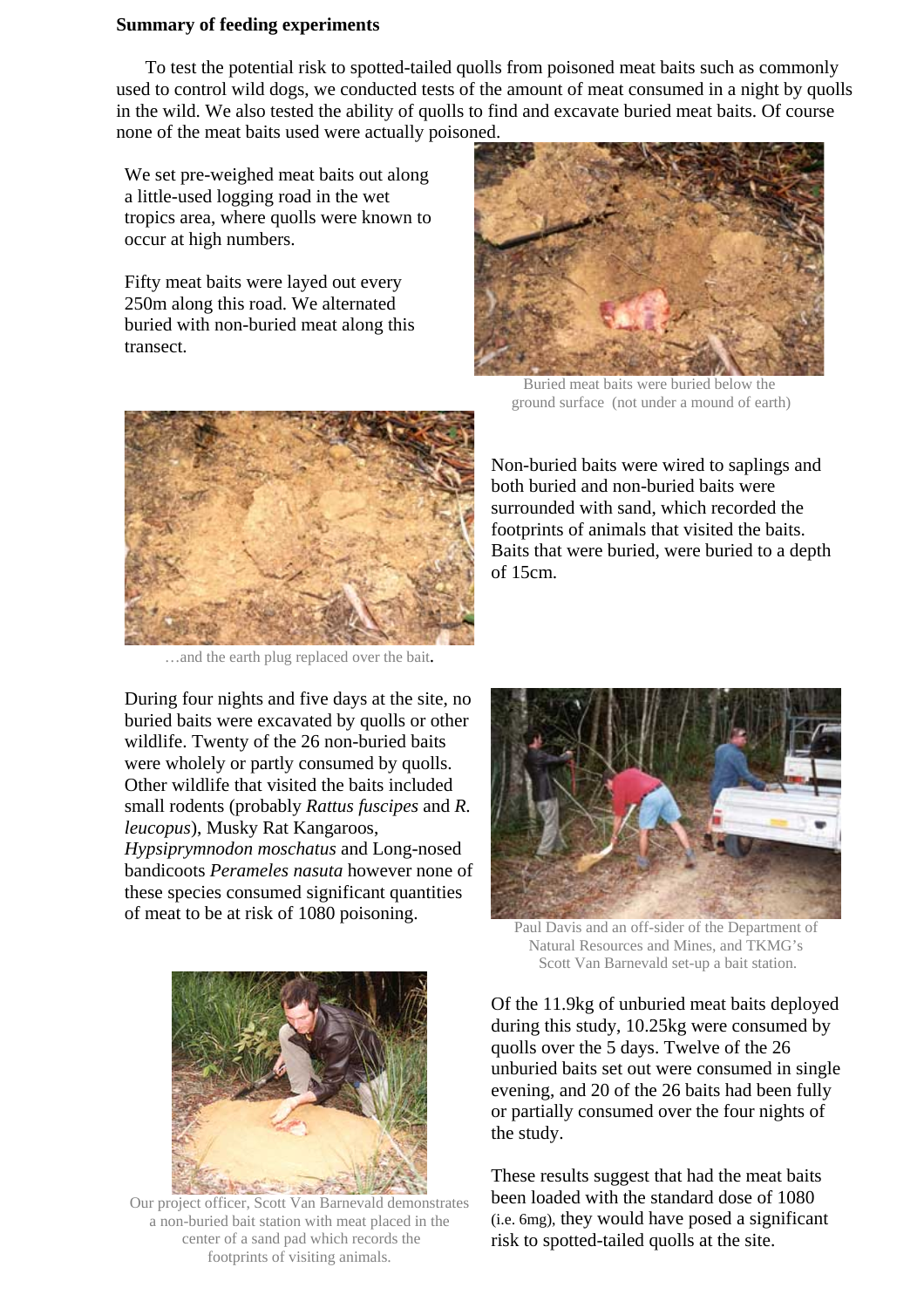## **Summary of feeding experiments**

To test the potential risk to spotted-tailed quolls from poisoned meat baits such as commonly used to control wild dogs, we conducted tests of the amount of meat consumed in a night by quolls in the wild. We also tested the ability of quolls to find and excavate buried meat baits. Of course none of the meat baits used were actually poisoned.

We set pre-weighed meat baits out along a little-used logging road in the wet tropics area, where quolls were known to occur at high numbers.

Fifty meat baits were layed out every 250m along this road. We alternated buried with non-buried meat along this transect.



Buried meat baits were buried below the ground surface (not under a mound of earth)



…and the earth plug replaced over the bait.

During four nights and five days at the site, no buried baits were excavated by quolls or other wildlife. Twenty of the 26 non-buried baits were wholely or partly consumed by quolls. Other wildlife that visited the baits included small rodents (probably *Rattus fuscipes* and *R. leucopus*), Musky Rat Kangaroos, *Hypsiprymnodon moschatus* and Long-nosed bandicoots *Perameles nasuta* however none of these species consumed significant quantities



Our project officer, Scott Van Barnevald demonstrates a non-buried bait station with meat placed in the center of a sand pad which records the footprints of visiting animals.

Non-buried baits were wired to saplings and both buried and non-buried baits were surrounded with sand, which recorded the footprints of animals that visited the baits. Baits that were buried, were buried to a depth of 15cm.



Natural Resources and Mines, and TKMG's Scott Van Barnevald set-up a bait station.

Of the 11.9kg of unburied meat baits deployed during this study, 10.25kg were consumed by quolls over the 5 days. Twelve of the 26 unburied baits set out were consumed in single evening, and 20 of the 26 baits had been fully or partially consumed over the four nights of the study.

These results suggest that had the meat baits been loaded with the standard dose of 1080 (i.e. 6mg), they would have posed a significant risk to spotted-tailed quolls at the site.